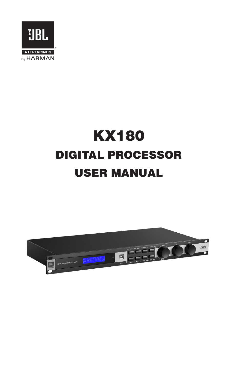

# KX180 DIGITAL PROCESSOR USER MANUAL

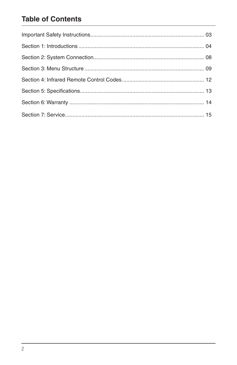# **Table of Contents**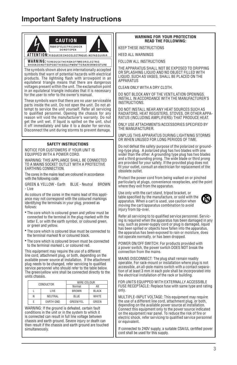# **Important Safety Instructions**



simultaneously.

#### **WARNING FOR YOUR PROTECTION READ THE FOLLOWING:**

KEEP THESE INSTRUCTIONS

HEED ALL WARNINGS

FOLLOW ALL INSTRUCTIONS

THE APPARATUS SHALL NOT BE EXPOSED TO DRIPPING OR SPLASHING LIQUID AND NO OBJECT FILLED WITH LIQUID, SUCH AS VASES, SHALL BE PLACED ON THE APPARATUS

CLEAN ONLY WITH A DRY CLOTH.

DO NOT BLOCK ANY OF THE VENTILATION OPENINGS. INSTALL IN ACCORDANCE WITH THE MANUFACTURER'S INSTRUCTIONS.

DO NOT INSTALL NEAR ANY HEAT SOURCES SUCH AS RADIATORS, HEAT REGISTERS, STOVES, OR OTHER APPA-RATUS (INCLUDING AMPLIFIERS) THAT PRODUCE HEAT.

ONLY USE ATTACHMENTS/ACCESSORIES SPECIFIED BY THE MANUFACTURER.

UNPLUG THIS APPARATUS DURING LIGHTNING STORMS OR WHEN UNUSED FOR LONG PERIODS OF TIME.

Do not defeat the safety purpose of the polarized or grounding-type plug. A polarized plug has two blades with one wider than the other. A grounding type plug has two blades and a third grounding prong. The wide blade or third prong are provided for your safety. If the provided plug does not fit your outlet, consult an electrician for replacement of the obsolete outlet.

Protect the power cord from being walked on or pinched particularly at plugs, convenience receptacles, and the point where they exit from the apparatus.

Use only with the cart stand, tripod bracket, or table specified by the manufacture, or sold with the apparatus. When a cart is used, use caution when moving the cart/apparatus combination to avoid injury from tip-over.



Refer all servicing to to qualified service personnel. Servicing is required when the apparatus has been damaged in any way, such as power-supply cord or plug is damaged, liquid has been spilled or objects have fallen into the apparatus, the apparatus has been exposed to rain or moisture, does not operate normally, or has been dropped.

POWER ON/OFF SWITCH: For products provided with a power switch, the power switch DOES NOT break the connection from the mains.

MAINS DISCONNECT: The plug shall remain readily operable. For rack-mount or installation where plug is not accessible, an all-pole mains switch with a contact separation of at least 3 mm in each pole shall be incorporated into the electrical installation of the rack or building.

FOR UNITS EQUIPPED WITH EXTERNALLY ACCESSIBLE FUSE RECEPTACLE: Replace fuse with same type and rating

MULTIPLE-INPUT VOLTAGE: This equipment may require the use of a different line cord, attachment plug, or both, depending on the available power source at installation. Connect this equipment only to the power source indicated on the equipment rear panel. To reduce the risk of fire or electric shock, refer servicing to qualified service personnel or equivalent.

If connected to 240V supply, a suitable CSA/UL certified power cord shall be used for this supply.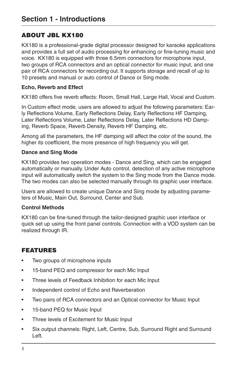# ABOUT JBL KX180

KX180 is a professional-grade digital processor designed for karaoke applications and provides a full set of audio processing for enhancing or fine-tuning music and voice. KX180 is equipped with three 6.5mm connectors for microphone input, two groups of RCA connectors and an optical connector for music input, and one pair of RCA connectors for recording out. It supports storage and recall of up to 10 presets and manual or auto control of Dance or Sing mode.

#### **Echo, Reverb and Effect**

KX180 offers five reverb effects: Room, Small Hall, Large Hall, Vocal and Custom.

In Custom effect mode, users are allowed to adjust the following parameters: Early Reflections Volume, Early Reflections Delay, Early Reflections HF Damping, Later Reflections Volume, Later Reflections Delay, Later Reflections HD Damping, Reverb Space, Reverb Density, Reverb HF Damping, etc.

Among all the parameters, the HF damping will affect the color of the sound, the higher its coefficient, the more presence of high frequency you will get.

#### **Dance and Sing Mode**

KX180 provides two operation modes - Dance and Sing, which can be engaged automatically or manually. Under Auto control, detection of any active microphone input will automatically switch the system to the Sing mode from the Dance mode. The two modes can also be selected manually through its graphic user interface.

Users are allowed to create unique Dance and Sing mode by adjusting parameters of Music, Main Out, Surround, Center and Sub.

#### **Control Methods**

KX180 can be fine-tuned through the tailor-designed graphic user interface or quick set up using the front panel controls. Connection with a VOD system can be realized through IR.

# FEATURES

- Two groups of microphone inputs
- 15-band PEQ and compressor for each Mic Input
- Three levels of Feedback Inhibition for each Mic Input
- Independent control of Echo and Reverberation
- Two pairs of RCA connectors and an Optical connector for Music Input
- 15-band PEQ for Music Input
- Three levels of Excitement for Music Input
- Six output channels: Right, Left, Centre, Sub, Surround Right and Surround Left.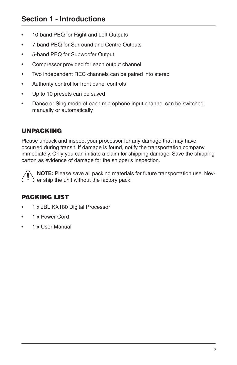# **Section 1 - Introductions**

- 10-band PEQ for Right and Left Outputs
- 7-band PEQ for Surround and Centre Outputs
- 5-band PEQ for Subwoofer Output
- Compressor provided for each output channel
- Two independent REC channels can be paired into stereo
- Authority control for front panel controls
- Up to 10 presets can be saved
- Dance or Sing mode of each microphone input channel can be switched manually or automatically

# UNPACKING

Please unpack and inspect your processor for any damage that may have occurred during transit. If damage is found, notify the transportation company immediately. Only you can initiate a claim for shipping damage. Save the shipping carton as evidence of damage for the shipper's inspection.



**NOTE:** Please save all packing materials for future transportation use. Never ship the unit without the factory pack.

# PACKING LIST

- 1 x JBL KX180 Digital Processor
- 1 x Power Cord
- 1 x User Manual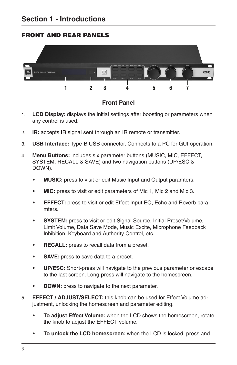# FRONT AND REAR PANELS



#### **Front Panel**

- 1. **LCD Display:** displays the initial settings after boosting or parameters when any control is used.
- 2. **IR:** accepts IR signal sent through an IR remote or transmitter.
- 3. **USB Interface:** Type-B USB connector. Connects to a PC for GUI operation.
- 4. **Menu Buttons:** includes six parameter buttons (MUSIC, MIC, EFFECT, SYSTEM, RECALL & SAVE) and two navigation buttons (UP/ESC & DOWN).
	- **• MUSIC:** press to visit or edit Music Input and Output paramters.
	- **• MIC:** press to visit or edit parameters of Mic 1, Mic 2 and Mic 3.
	- **• EFFECT:** press to visit or edit Effect Input EQ, Echo and Reverb paramters.
	- **• SYSTEM:** press to visit or edit Signal Source, Initial Preset/Volume, Limit Volume, Data Save Mode, Music Excite, Microphone Feedback Inhibition, Keyboard and Authority Control, etc.
	- **• RECALL:** press to recall data from a preset.
	- **• SAVE:** press to save data to a preset.
	- **• UP/ESC:** Short-press will navigate to the previous parameter or escape to the last screen. Long-press will navigate to the homescreen.
	- **• DOWN:** press to navigate to the next parameter.
- 5. **EFFECT / ADJUST/SELECT:** this knob can be used for Effect Volume adjustment, unlocking the homescreen and parameter editing.
	- **• To adjust Effect Volume:** when the LCD shows the homescreen, rotate the knob to adjust the EFFECT volume.
	- **• To unlock the LCD homescreen:** when the LCD is locked, press and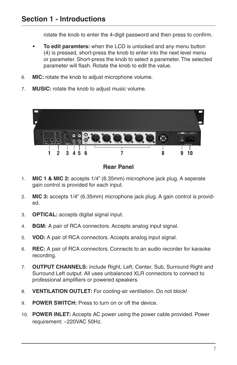rotate the knob to enter the 4-digit password and then press to confirm.

- **• To edit paramters:** when the LCD is unlocked and any menu button (4) is pressed, short-press the knob to enter into the next level menu or parameter. Short-press the knob to select a parameter. The selected parameter will flash. Rotate the knob to edit the value.
- 6. **MIC:** rotate the knob to adjust microphone volume.
- 7. **MUSIC:** rotate the knob to adjust music volume.



## **Rear Panel**

- 1. **MIC 1 & MIC 2:** accepts 1/4" (6.35mm) microphone jack plug. A seperate gain control is provided for each input.
- 2. **MIC 3:** accepts 1/4" (6.35mm) microphone jack plug. A gain control is provided.
- 3. **OPTICAL:** accepts digital signal input.
- 4. **BGM:** A pair of RCA connectors. Accepts analog input signal.
- 5. **VOD:** A pair of RCA connectors. Accepts analog input signal.
- 6. **REC:** A pair of RCA connectors. Connects to an audio recorder for karaoke recording.
- 7. **OUTPUT CHANNELS:** include Right, Left, Center, Sub, Surround Right and Surround Left output. All uses unbalanced XLR connectors to connect to professional amplifiers or powered speakers.
- 8. **VENTILATION OUTLET:** For cooling-air ventilation. Do not block!
- 9. **POWER SWITCH:** Press to turn on or off the device.
- 10. **POWER INLET:** Accepts AC power using the power cable provided. Power requirement: ~220VAC 50Hz.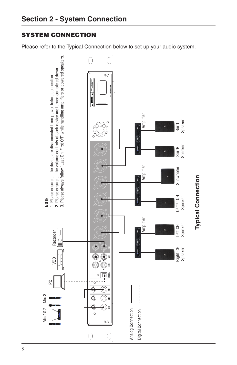# SYSTEM CONNECTION

Please refer to the Typical Connection below to set up your audio system.

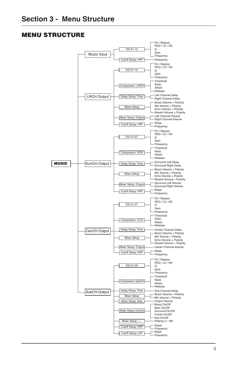#### MENU STRUCTURE

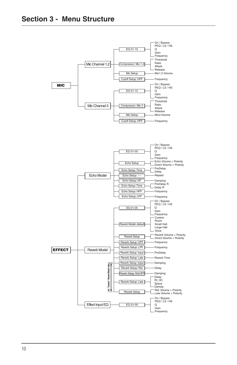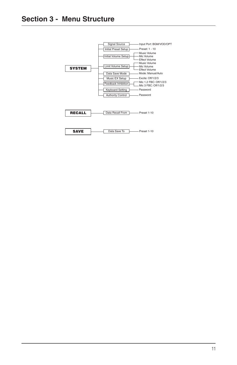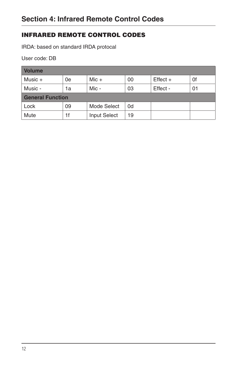# INFRARED REMOTE CONTROL CODES

IRDA: based on standard IRDA protocal

User code: DB

| <b>Volume</b>           |    |              |    |            |    |  |
|-------------------------|----|--------------|----|------------|----|--|
| Music $+$               | 0e | $Mic +$      | 00 | $Effect +$ | 0f |  |
| Music -                 | 1a | Mic -        | 03 | Effect -   | 01 |  |
| <b>General Function</b> |    |              |    |            |    |  |
| Lock                    | 09 | Mode Select  | 0d |            |    |  |
| Mute                    | 1f | Input Select | 19 |            |    |  |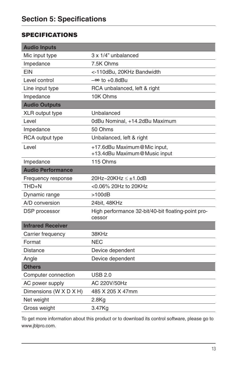# **SPECIFICATIONS**

| <b>Audio Inputs</b>      |                                                              |  |  |
|--------------------------|--------------------------------------------------------------|--|--|
| Mic input type           | 3 x 1/4" unbalanced                                          |  |  |
| Impedance                | 7.5K Ohms                                                    |  |  |
| EIN                      | <-110dBu, 20KHz Bandwidth                                    |  |  |
| Level control            | $-\infty$ to $+0.8$ dBu                                      |  |  |
| Line input type          | RCA unbalanced, left & right                                 |  |  |
| Impedance                | 10K Ohms                                                     |  |  |
| <b>Audio Outputs</b>     |                                                              |  |  |
| XLR output type          | Unbalanced                                                   |  |  |
| Level                    | 0dBu Nominal, +14.2dBu Maximum                               |  |  |
| Impedance                | 50 Ohms                                                      |  |  |
| RCA output type          | Unbalanced, left & right                                     |  |  |
| Level                    | +17.6dBu Maximum@Mic input,<br>+13.4dBu Maximum@Music input  |  |  |
| Impedance                | 115 Ohms                                                     |  |  |
| <b>Audio Performance</b> |                                                              |  |  |
| Frequency response       | 20Hz~20KHz ≤ ±1.0dB                                          |  |  |
| THD+N                    | <0.06% 20Hz to 20KHz                                         |  |  |
| Dynamic range            | $>100$ d $B$                                                 |  |  |
| A/D conversion           | 24bit, 48KHz                                                 |  |  |
| DSP processor            | High performance 32-bit/40-bit floating-point pro-<br>cessor |  |  |
| <b>Infrared Receiver</b> |                                                              |  |  |
| Carrier frequency        | 38KHz                                                        |  |  |
| Format                   | <b>NEC</b>                                                   |  |  |
| Distance                 | Device dependent                                             |  |  |
| Angle                    | Device dependent                                             |  |  |
| <b>Others</b>            |                                                              |  |  |
| Computer connection      | <b>USB 2.0</b>                                               |  |  |
| AC power supply          | AC 220V/50Hz                                                 |  |  |
| Dimensions (W X D X H)   | 485 X 205 X 47mm                                             |  |  |
| Net weight               | $2.8$ Kg                                                     |  |  |
| Gross weight             | 3.47Kg                                                       |  |  |

To get more information about this product or to download its control software, please go to www.jblpro.com.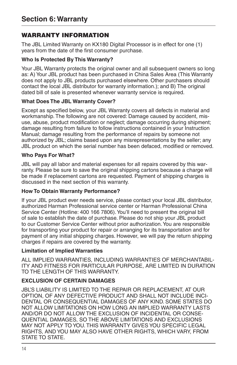# WARRANTY INFORMATION

The JBL Limited Warranty on KX180 Digital Processor is in effect for one (1) years from the date of the first consumer purchase.

#### **Who Is Protected By This Warranty?**

Your JBL Warranty protects the original owner and all subsequent owners so long as: A) Your JBL product has been purchased in China Sales Area (This Warranty does not apply to JBL products purchased elsewhere. Other purchasers should contact the local JBL distributor for warranty information.); and B) The original dated bill of sale is presented whenever warranty service is required.

#### **What Does The JBL Warranty Cover?**

Except as specified below, your JBL Warranty covers all defects in material and workmanship. The following are not covered: Damage caused by accident, misuse, abuse, product modification or neglect; damage occurring during shipment; damage resulting from failure to follow instructions contained in your Instruction Manual; damage resulting from the performance of repairs by someone not authorized by JBL; claims based upon any misrepresentations by the seller; any JBL product on which the serial number has been defaced, modified or removed.

#### **Who Pays For What?**

JBL will pay all labor and material expenses for all repairs covered by this warranty. Please be sure to save the original shipping cartons because a charge will be made if replacement cartons are requested. Payment of shipping charges is discussed in the next section of this warranty.

#### **How To Obtain Warranty Performance?**

If your JBL product ever needs service, please contact your local JBL distributor, authorized Harman Professional service center or Harman Professional China Service Center (Hotline: 400 166 7806). You'll need to present the original bill of sale to establish the date of purchase. Please do not ship your JBL product to our Customer Service Center without prior authorization. You are responsible for transporting your product for repair or arranging for its transportation and for payment of any initial shipping charges. However, we will pay the return shipping charges if repairs are covered by the warranty.

#### **Limitation of Implied Warranties**

ALL IMPLIED WARRANTIES, INCLUDING WARRANTIES OF MERCHANTABIL-ITY AND FITNESS FOR PARTICULAR PURPOSE, ARE LIMITED IN DURATION TO THE LENGTH OF THIS WARRANTY.

## **EXCLUSION OF CERTAIN DAMAGES**

JBL'S LIABILITY IS LIMITED TO THE REPAIR OR REPLACEMENT, AT OUR OPTION, OF ANY DEFECTIVE PRODUCT AND SHALL NOT INCLUDE INCI-DENTAL OR CONSEQUENTIAL DAMAGES OF ANY KIND. SOME STATES DO NOT ALLOW LIMITATIONS ON HOW LONG AN IMPLIED WARRANTY LASTS AND/OR DO NOT ALLOW THE EXCLUSION OF INCIDENTAL OR CONSE-QUENTIAL DAMAGES, SO THE ABOVE LIMITATIONS AND EXCLUSIONS MAY NOT APPLY TO YOU. THIS WARRANTY GIVES YOU SPECIFIC LEGAL RIGHTS, AND YOU MAY ALSO HAVE OTHER RIGHTS, WHICH VARY, FROM STATE TO STATE.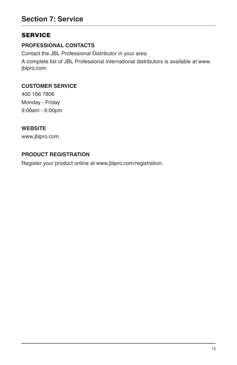# **SERVICE**

# **PROFESSIONAL CONTACTS**

Contact the JBL Professional Distributor in your area.

A complete list of JBL Professional international distributors is available at www. jblpro.com.

#### **CUSTOMER SERVICE**

400 166 7806 Monday - Friday 9:00am - 6:00pm

#### **WEBSITE**

www.jblpro.com

## **PRODUCT REGISTRATION**

Register your product online at www.jblpro.com/registration.